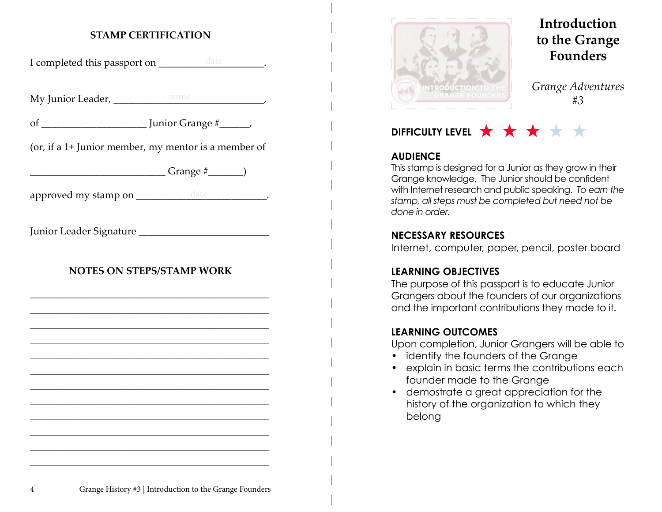#### **STAMP CERTIFICATION**

I completed this passport on \_\_\_\_\_\_\_\_\_\_\_\_\_\_\_\_\_\_\_\_\_\_\_.

My Junior Leader, \_\_\_\_\_\_\_\_\_\_\_\_\_\_\_\_\_\_\_\_\_\_\_\_\_\_\_\_\_\_, name

of \_\_\_\_\_\_\_\_\_\_\_\_\_\_\_\_\_\_\_\_\_ Junior Grange #\_\_\_\_\_\_,

(or, if a 1+ Junior member, my mentor is a member of

 $Grange \#$  )

approved my stamp on \_\_\_\_\_\_\_\_\_\_\_\_\_\_\_\_\_\_\_\_\_\_\_\_\_\_\_\_\_\_\_\_\_\_.

Junior Leader Signature \_\_\_\_\_\_\_\_\_\_\_\_\_\_\_\_\_\_\_\_\_\_\_\_\_\_

#### **NOTES ON STEPS/STAMP WORK**

\_\_\_\_\_\_\_\_\_\_\_\_\_\_\_\_\_\_\_\_\_\_\_\_\_\_\_\_\_\_\_\_\_\_\_\_\_\_\_\_\_\_\_\_\_\_\_\_\_\_\_\_ \_\_\_\_\_\_\_\_\_\_\_\_\_\_\_\_\_\_\_\_\_\_\_\_\_\_\_\_\_\_\_\_\_\_\_\_\_\_\_\_\_\_\_\_\_\_\_\_\_\_\_\_ \_\_\_\_\_\_\_\_\_\_\_\_\_\_\_\_\_\_\_\_\_\_\_\_\_\_\_\_\_\_\_\_\_\_\_\_\_\_\_\_\_\_\_\_\_\_\_\_\_\_\_\_ \_\_\_\_\_\_\_\_\_\_\_\_\_\_\_\_\_\_\_\_\_\_\_\_\_\_\_\_\_\_\_\_\_\_\_\_\_\_\_\_\_\_\_\_\_\_\_\_\_\_\_\_ \_\_\_\_\_\_\_\_\_\_\_\_\_\_\_\_\_\_\_\_\_\_\_\_\_\_\_\_\_\_\_\_\_\_\_\_\_\_\_\_\_\_\_\_\_\_\_\_\_\_\_\_ \_\_\_\_\_\_\_\_\_\_\_\_\_\_\_\_\_\_\_\_\_\_\_\_\_\_\_\_\_\_\_\_\_\_\_\_\_\_\_\_\_\_\_\_\_\_\_\_\_\_\_\_ \_\_\_\_\_\_\_\_\_\_\_\_\_\_\_\_\_\_\_\_\_\_\_\_\_\_\_\_\_\_\_\_\_\_\_\_\_\_\_\_\_\_\_\_\_\_\_\_\_\_\_\_ \_\_\_\_\_\_\_\_\_\_\_\_\_\_\_\_\_\_\_\_\_\_\_\_\_\_\_\_\_\_\_\_\_\_\_\_\_\_\_\_\_\_\_\_\_\_\_\_\_\_\_\_ \_\_\_\_\_\_\_\_\_\_\_\_\_\_\_\_\_\_\_\_\_\_\_\_\_\_\_\_\_\_\_\_\_\_\_\_\_\_\_\_\_\_\_\_\_\_\_\_\_\_\_\_ \_\_\_\_\_\_\_\_\_\_\_\_\_\_\_\_\_\_\_\_\_\_\_\_\_\_\_\_\_\_\_\_\_\_\_\_\_\_\_\_\_\_\_\_\_\_\_\_\_\_\_\_ \_\_\_\_\_\_\_\_\_\_\_\_\_\_\_\_\_\_\_\_\_\_\_\_\_\_\_\_\_\_\_\_\_\_\_\_\_\_\_\_\_\_\_\_\_\_\_\_\_\_\_\_ \_\_\_\_\_\_\_\_\_\_\_\_\_\_\_\_\_\_\_\_\_\_\_\_\_\_\_\_\_\_\_\_\_\_\_\_\_\_\_\_\_\_\_\_\_\_\_\_\_\_\_\_



## **Introduction to the Grange Founders**

*Grange Adventures #3*

## DIFFICULTY LEVEL  $\bigstar \star \star \star \star$

#### **AUDIENCE**

This stamp is designed for a Junior as they grow in their Grange knowledge. The Junior should be confident with Internet research and public speaking. *To earn the stamp, all steps must be completed but need not be done in order.*

#### **NECESSARY RESOURCES**

Internet, computer, paper, pencil, poster board

#### **LEARNING OBJECTIVES**

The purpose of this passport is to educate Junior Grangers about the founders of our organizations and the important contributions they made to it.

#### **LEARNING OUTCOMES**

Upon completion, Junior Grangers will be able to

- identify the founders of the Grange
- explain in basic terms the contributions each founder made to the Grange
- demostrate a great appreciation for the history of the organization to which they belong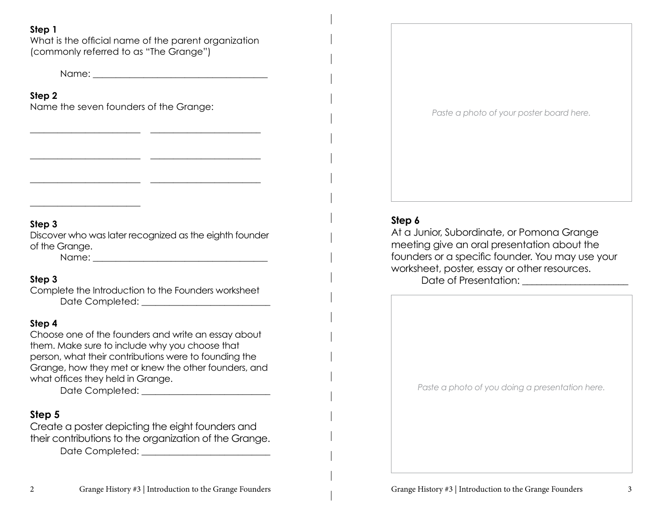#### **Step 1**

What is the official name of the parent organization (commonly referred to as "The Grange")

\_\_\_\_\_\_\_\_\_\_\_\_\_\_\_\_\_\_\_\_\_\_\_\_ \_\_\_\_\_\_\_\_\_\_\_\_\_\_\_\_\_\_\_\_\_\_\_\_

\_\_\_\_\_\_\_\_\_\_\_\_\_\_\_\_\_\_\_\_\_\_\_\_ \_\_\_\_\_\_\_\_\_\_\_\_\_\_\_\_\_\_\_\_\_\_\_\_

\_\_\_\_\_\_\_\_\_\_\_\_\_\_\_\_\_\_\_\_\_\_\_\_ \_\_\_\_\_\_\_\_\_\_\_\_\_\_\_\_\_\_\_\_\_\_\_\_

Name: \_\_\_\_\_\_\_\_\_\_\_\_\_\_\_\_\_\_\_\_\_\_\_\_\_\_\_\_\_\_\_\_\_\_\_\_\_\_

**Step 2**

Name the seven founders of the Grange:

#### **Step 3**

Discover who was later recognized as the eighth founder of the Grange.

Name:  $\blacksquare$ 

\_\_\_\_\_\_\_\_\_\_\_\_\_\_\_\_\_\_\_\_\_\_\_\_

#### **Step 3**

Complete the Introduction to the Founders worksheet Date Completed: \_\_\_\_\_\_\_\_\_\_\_\_\_\_\_\_\_\_\_\_\_\_\_\_\_\_\_\_

#### **Step 4**

Choose one of the founders and write an essay about them. Make sure to include why you choose that person, what their contributions were to founding the Grange, how they met or knew the other founders, and what offices they held in Grange.

Date Completed: \_\_\_\_\_\_\_\_\_\_\_\_\_\_\_\_\_\_\_\_\_\_\_\_\_\_\_\_

#### **Step 5**

Create a poster depicting the eight founders and their contributions to the organization of the Grange.

Date Completed: \_\_\_\_\_\_\_\_\_\_\_\_\_\_\_\_\_\_\_\_\_\_\_\_\_\_\_\_



#### **Step 6**

At a Junior, Subordinate, or Pomona Grange meeting give an oral presentation about the founders or a specific founder. You may use your worksheet, poster, essay or other resources. Date of Presentation: \_\_\_\_\_\_\_\_\_\_\_\_\_\_\_\_\_\_\_\_\_\_

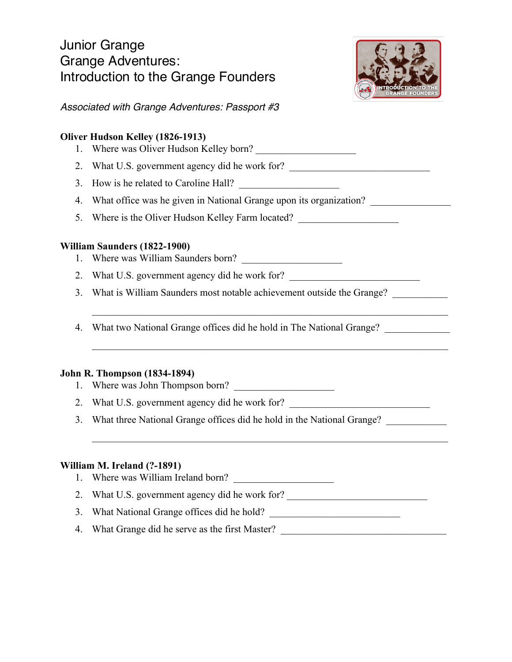### Junior Grange Grange Adventures: Introduction to the Grange Founders



*Associated with Grange Adventures: Passport #3*

# **Oliver Hudson Kelley (1826-1913)** 1. Where was Oliver Hudson Kelley born? 2. What U.S. government agency did he work for? 3. How is he related to Caroline Hall? 4. What office was he given in National Grange upon its organization? 5. Where is the Oliver Hudson Kelley Farm located? \_\_\_\_\_\_\_\_\_\_\_\_\_\_\_\_\_\_\_\_\_\_\_\_\_\_\_\_\_ **William Saunders (1822-1900)** 1. Where was William Saunders born? 2. What U.S. government agency did he work for? 3. What is William Saunders most notable achievement outside the Grange? 4. What two National Grange offices did he hold in The National Grange? *\_\_\_\_\_\_\_\_\_\_\_\_\_* **John R. Thompson (1834-1894)** 1. Where was John Thompson born? 2. What U.S. government agency did he work for? 3. What three National Grange offices did he hold in the National Grange?  $\mathcal{L}_\mathcal{L} = \mathcal{L}_\mathcal{L} = \mathcal{L}_\mathcal{L} = \mathcal{L}_\mathcal{L} = \mathcal{L}_\mathcal{L} = \mathcal{L}_\mathcal{L} = \mathcal{L}_\mathcal{L} = \mathcal{L}_\mathcal{L} = \mathcal{L}_\mathcal{L} = \mathcal{L}_\mathcal{L} = \mathcal{L}_\mathcal{L} = \mathcal{L}_\mathcal{L} = \mathcal{L}_\mathcal{L} = \mathcal{L}_\mathcal{L} = \mathcal{L}_\mathcal{L} = \mathcal{L}_\mathcal{L} = \mathcal{L}_\mathcal{L}$ **William M. Ireland (?-1891)** 1. Where was William Ireland born? 2. What U.S. government agency did he work for? 3. What National Grange offices did he hold? \_\_\_\_\_\_\_\_\_\_\_\_\_\_\_\_\_\_\_\_\_\_\_\_\_\_\_\_\_\_\_\_\_\_\_

4. What Grange did he serve as the first Master?